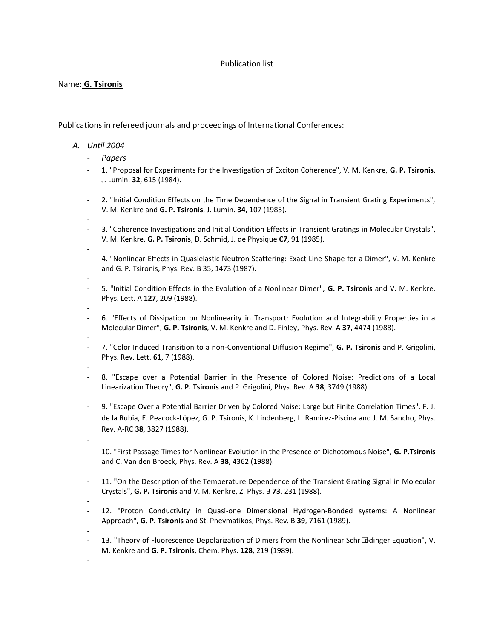## Publication list

## Name: **G. Tsironis**

Publications in refereed journals and proceedings of International Conferences:

- *A. Until 2004* 
	- *Papers*
	- 1. "Proposal for Experiments for the Investigation of Exciton Coherence", V. M. Kenkre, **G. P. Tsironis**, J. Lumin. **32**, 615 (1984).
	- 2. "Initial Condition Effects on the Time Dependence of the Signal in Transient Grating Experiments", V. M. Kenkre and **G. P. Tsironis**, J. Lumin. **34**, 107 (1985).
	- - 3. "Coherence Investigations and Initial Condition Effects in Transient Gratings in Molecular Crystals", V. M. Kenkre, **G. P. Tsironis**, D. Schmid, J. de Physique **C7**, 91 (1985).
	- - 4. "Nonlinear Effects in Quasielastic Neutron Scattering: Exact Line-Shape for a Dimer", V. M. Kenkre and G. P. Tsironis, Phys. Rev. B 35, 1473 (1987).
	- -
- 5. "Initial Condition Effects in the Evolution of a Nonlinear Dimer", G. P. Tsironis and V. M. Kenkre, Phys. Lett. A **127**, 209 (1988).
- - 6. "Effects of Dissipation on Nonlinearity in Transport: Evolution and Integrability Properties in a Molecular Dimer", **G. P. Tsironis**, V. M. Kenkre and D. Finley, Phys. Rev. A **37**, 4474 (1988).
- - 7. "Color Induced Transition to a non-Conventional Diffusion Regime", **G. P. Tsironis** and P. Grigolini, Phys. Rev. Lett. **61**, 7 (1988).
- 8. "Escape over a Potential Barrier in the Presence of Colored Noise: Predictions of a Local Linearization Theory", **G. P. Tsironis** and P. Grigolini, Phys. Rev. A **38**, 3749 (1988).
- - 9. "Escape Over a Potential Barrier Driven by Colored Noise: Large but Finite Correlation Times", F. J. de la Rubia, E. Peacock-López, G. P. Tsironis, K. Lindenberg, L. Ramirez-Piscina and J. M. Sancho, Phys. Rev. A-RC **38**, 3827 (1988).
- 10. "First Passage Times for Nonlinear Evolution in the Presence of Dichotomous Noise", **G. P.Tsironis** and C. Van den Broeck, Phys. Rev. A **38**, 4362 (1988).
- 11. "On the Description of the Temperature Dependence of the Transient Grating Signal in Molecular Crystals", **G. P. Tsironis** and V. M. Kenkre, Z. Phys. B **73**, 231 (1988).
- 12. "Proton Conductivity in Quasi-one Dimensional Hydrogen-Bonded systems: A Nonlinear Approach", **G. P. Tsironis** and St. Pnevmatikos, Phys. Rev. B **39**, 7161 (1989).
- 13. "Theory of Fluorescence Depolarization of Dimers from the Nonlinear Schr•odinger Equation", V. M. Kenkre and **G. P. Tsironis**, Chem. Phys. **128**, 219 (1989).

-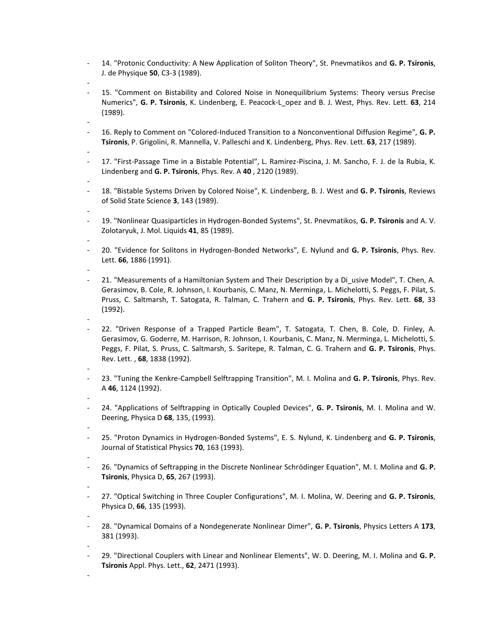- 14. "Protonic Conductivity: A New Application of Soliton Theory", St. Pnevmatikos and **G. P. Tsironis**, J. de Physique **50**, C3-3 (1989).
- - 15. "Comment on Bistability and Colored Noise in Nonequilibrium Systems: Theory versus Precise Numerics", **G. P. Tsironis**, K. Lindenberg, E. Peacock-L\_opez and B. J. West, Phys. Rev. Lett. **63**, 214 (1989).
- - 16. Reply to Comment on "Colored-Induced Transition to a Nonconventional Diffusion Regime", **G. P. Tsironis**, P. Grigolini, R. Mannella, V. Palleschi and K. Lindenberg, Phys. Rev. Lett. **63**, 217 (1989).
- 17. "First-Passage Time in a Bistable Potential", L. Ramirez-Piscina, J. M. Sancho, F. J. de la Rubia, K. Lindenberg and **G. P. Tsironis**, Phys. Rev. A **40** , 2120 (1989).
- - 18. "Bistable Systems Driven by Colored Noise", K. Lindenberg, B. J. West and **G. P. Tsironis**, Reviews of Solid State Science **3**, 143 (1989).
- - 19. "Nonlinear Quasiparticles in Hydrogen-Bonded Systems", St. Pnevmatikos, **G. P. Tsironis** and A. V. Zolotaryuk, J. Mol. Liquids **41**, 85 (1989).

- - 20. "Evidence for Solitons in Hydrogen-Bonded Networks", E. Nylund and **G. P. Tsironis**, Phys. Rev. Lett. **66**, 1886 (1991).

- 21. "Measurements of a Hamiltonian System and Their Description by a Di\_usive Model", T. Chen, A. Gerasimov, B. Cole, R. Johnson, I. Kourbanis, C. Manz, N. Merminga, L. Michelotti, S. Peggs, F. Pilat, S. Pruss, C. Saltmarsh, T. Satogata, R. Talman, C. Trahern and **G. P. Tsironis**, Phys. Rev. Lett. **68**, 33 (1992).
- 22. "Driven Response of a Trapped Particle Beam", T. Satogata, T. Chen, B. Cole, D. Finley, A. Gerasimov, G. Goderre, M. Harrison, R. Johnson, I. Kourbanis, C. Manz, N. Merminga, L. Michelotti, S. Peggs, F. Pilat, S. Pruss, C. Saltmarsh, S. Saritepe, R. Talman, C. G. Trahern and **G. P. Tsironis**, Phys. Rev. Lett. , **68**, 1838 (1992).
- 23. "Tuning the Kenkre-Campbell Selftrapping Transition", M. I. Molina and **G. P. Tsironis**, Phys. Rev. A **46**, 1124 (1992).

-

- - 24. "Applications of Selftrapping in Optically Coupled Devices", **G. P. Tsironis**, M. I. Molina and W. Deering, Physica D **68**, 135, (1993).
- - 25. "Proton Dynamics in Hydrogen-Bonded Systems", E. S. Nylund, K. Lindenberg and **G. P. Tsironis**, Journal of Statistical Physics **70**, 163 (1993).
- - 26. "Dynamics of Seftrapping in the Discrete Nonlinear Schrödinger Equation", M. I. Molina and **G. P. Tsironis**, Physica D, **65**, 267 (1993).
- - 27. "Optical Switching in Three Coupler Configurations", M. I. Molina, W. Deering and **G. P. Tsironis**, Physica D, **66**, 135 (1993).
- - 28. "Dynamical Domains of a Nondegenerate Nonlinear Dimer", **G. P. Tsironis**, Physics Letters A **173**, 381 (1993).
- - 29. "Directional Couplers with Linear and Nonlinear Elements", W. D. Deering, M. I. Molina and **G. P. Tsironis** Appl. Phys. Lett., **62**, 2471 (1993).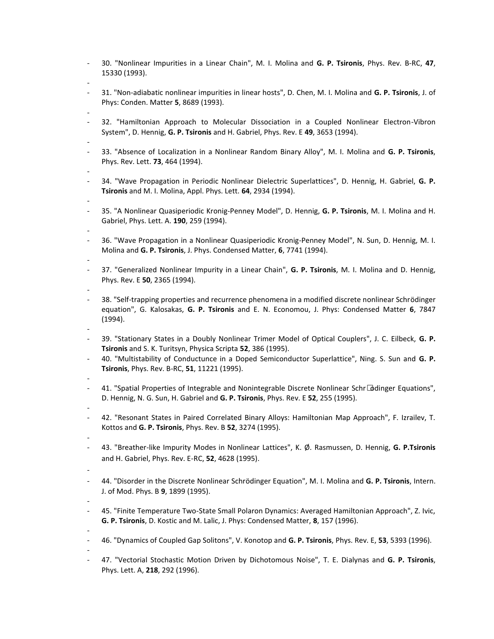- 30. "Nonlinear Impurities in a Linear Chain", M. I. Molina and **G. P. Tsironis**, Phys. Rev. B-RC, **47**, 15330 (1993).
- - 31. "Non-adiabatic nonlinear impurities in linear hosts", D. Chen, M. I. Molina and **G. P. Tsironis**, J. of Phys: Conden. Matter **5**, 8689 (1993).
- 32. "Hamiltonian Approach to Molecular Dissociation in a Coupled Nonlinear Electron-Vibron System", D. Hennig, **G. P. Tsironis** and H. Gabriel, Phys. Rev. E **49**, 3653 (1994).
- - 33. "Absence of Localization in a Nonlinear Random Binary Alloy", M. I. Molina and **G. P. Tsironis**, Phys. Rev. Lett. **73**, 464 (1994).
- - 34. "Wave Propagation in Periodic Nonlinear Dielectric Superlattices", D. Hennig, H. Gabriel, **G. P. Tsironis** and M. I. Molina, Appl. Phys. Lett. **64**, 2934 (1994).
- - 35. "A Nonlinear Quasiperiodic Kronig-Penney Model", D. Hennig, **G. P. Tsironis**, M. I. Molina and H. Gabriel, Phys. Lett. A. **190**, 259 (1994).
- 36. "Wave Propagation in a Nonlinear Quasiperiodic Kronig-Penney Model", N. Sun, D. Hennig, M. I. Molina and **G. P. Tsironis**, J. Phys. Condensed Matter, **6**, 7741 (1994).

- - 37. "Generalized Nonlinear Impurity in a Linear Chain", **G. P. Tsironis**, M. I. Molina and D. Hennig, Phys. Rev. E **50**, 2365 (1994).
- - 38. "Self-trapping properties and recurrence phenomena in a modified discrete nonlinear Schrödinger equation", G. Kalosakas, **G. P. Tsironis** and E. N. Economou, J. Phys: Condensed Matter **6**, 7847 (1994).
- - 39. "Stationary States in a Doubly Nonlinear Trimer Model of Optical Couplers", J. C. Eilbeck, **G. P. Tsironis** and S. K. Turitsyn, Physica Scripta **52**, 386 (1995).
- 40. "Multistability of Conductunce in a Doped Semiconductor Superlattice", Ning. S. Sun and **G. P. Tsironis**, Phys. Rev. B-RC, **51**, 11221 (1995).
- - 41. "Spatial Properties of Integrable and Nonintegrable Discrete Nonlinear Schr•odinger Equations", D. Hennig, N. G. Sun, H. Gabriel and **G. P. Tsironis**, Phys. Rev. E **52**, 255 (1995).
- - 42. "Resonant States in Paired Correlated Binary Alloys: Hamiltonian Map Approach", F. Izrailev, T. Kottos and **G. P. Tsironis**, Phys. Rev. B **52**, 3274 (1995).
- - 43. "Breather-like Impurity Modes in Nonlinear Lattices", K. Ø. Rasmussen, D. Hennig, **G. P.Tsironis** and H. Gabriel, Phys. Rev. E-RC, **52**, 4628 (1995).
- 44. "Disorder in the Discrete Nonlinear Schrödinger Equation", M. I. Molina and **G. P. Tsironis**, Intern. J. of Mod. Phys. B **9**, 1899 (1995).
- - 45. "Finite Temperature Two-State Small Polaron Dynamics: Averaged Hamiltonian Approach", Z. Ivic, **G. P. Tsironis**, D. Kostic and M. Lalic, J. Phys: Condensed Matter, **8**, 157 (1996).
- - 46. "Dynamics of Coupled Gap Solitons", V. Konotop and **G. P. Tsironis**, Phys. Rev. E, **53**, 5393 (1996).
- - 47. "Vectorial Stochastic Motion Driven by Dichotomous Noise", T. E. Dialynas and **G. P. Tsironis**, Phys. Lett. A, **218**, 292 (1996).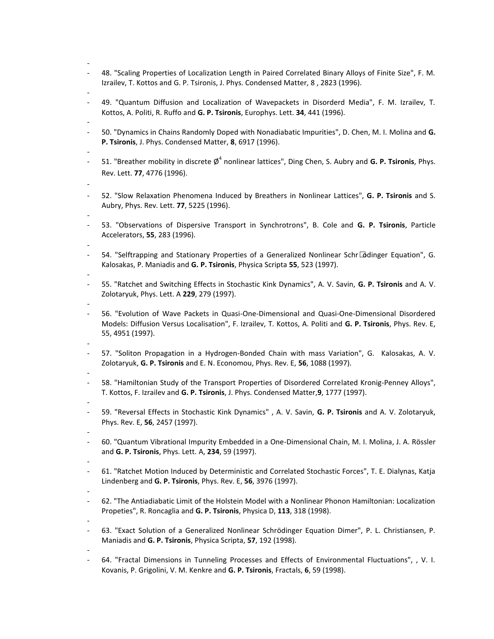- 48. "Scaling Properties of Localization Length in Paired Correlated Binary Alloys of Finite Size", F. M. Izrailev, T. Kottos and G. P. Tsironis, J. Phys. Condensed Matter, 8 , 2823 (1996).
- - 49. "Quantum Diffusion and Localization of Wavepackets in Disorderd Media", F. M. Izrailev, T. Kottos, A. Politi, R. Ruffo and **G. P. Tsironis**, Europhys. Lett. **34**, 441 (1996).
- - 50. "Dynamics in Chains Randomly Doped with Nonadiabatic Impurities", D. Chen, M. I. Molina and **G. P. Tsironis**, J. Phys. Condensed Matter, **8**, 6917 (1996).
- - 51. "Breather mobility in discrete Ø 4 nonlinear lattices", Ding Chen, S. Aubry and **G. P. Tsironis**, Phys. Rev. Lett. **77**, 4776 (1996).
- 52. "Slow Relaxation Phenomena Induced by Breathers in Nonlinear Lattices", **G. P. Tsironis** and S. Aubry, Phys. Rev. Lett. **77**, 5225 (1996).

- - 53. "Observations of Dispersive Transport in Synchrotrons", B. Cole and **G. P. Tsironis**, Particle Accelerators, **55**, 283 (1996).
- 54. "Selftrapping and Stationary Properties of a Generalized Nonlinear Schr•odinger Equation", G. Kalosakas, P. Maniadis and **G. P. Tsironis**, Physica Scripta **55**, 523 (1997).
- - 55. "Ratchet and Switching Effects in Stochastic Kink Dynamics", A. V. Savin, **G. P. Tsironis** and A. V. Zolotaryuk, Phys. Lett. A **229**, 279 (1997).
- - 56. "Evolution of Wave Packets in Quasi-One-Dimensional and Quasi-One-Dimensional Disordered Models: Diffusion Versus Localisation", F. Izrailev, T. Kottos, A. Politi and **G. P. Tsironis**, Phys. Rev. E, 55, 4951 (1997).
- 57. "Soliton Propagation in a Hydrogen-Bonded Chain with mass Variation", G. Kalosakas, A. V. Zolotaryuk, **G. P. Tsironis** and E. N. Economou, Phys. Rev. E, **56**, 1088 (1997).
- 58. "Hamiltonian Study of the Transport Properties of Disordered Correlated Kronig-Penney Alloys", T. Kottos, F. Izrailev and **G. P. Tsironis**, J. Phys. Condensed Matter,**9**, 1777 (1997).
- - 59. "Reversal Effects in Stochastic Kink Dynamics" , A. V. Savin, **G. P. Tsironis** and A. V. Zolotaryuk, Phys. Rev. E, **56**, 2457 (1997).
- - 60. "Quantum Vibrational Impurity Embedded in a One-Dimensional Chain, M. I. Molina, J. A. Rössler and **G. P. Tsironis**, Phys. Lett. A, **234**, 59 (1997).
- - 61. "Ratchet Motion Induced by Deterministic and Correlated Stochastic Forces", T. E. Dialynas, Katja Lindenberg and **G. P. Tsironis**, Phys. Rev. E, **56**, 3976 (1997).
- - 62. "The Antiadiabatic Limit of the Holstein Model with a Nonlinear Phonon Hamiltonian: Localization Propeties", R. Roncaglia and **G. P. Tsironis**, Physica D, **113**, 318 (1998).
- - 63. "Exact Solution of a Generalized Nonlinear Schrödinger Equation Dimer", P. L. Christiansen, P. Maniadis and **G. P. Tsironis**, Physica Scripta, **57**, 192 (1998).
- - 64. "Fractal Dimensions in Tunneling Processes and Effects of Environmental Fluctuations", , V. I. Kovanis, P. Grigolini, V. M. Kenkre and **G. P. Tsironis**, Fractals, **6**, 59 (1998).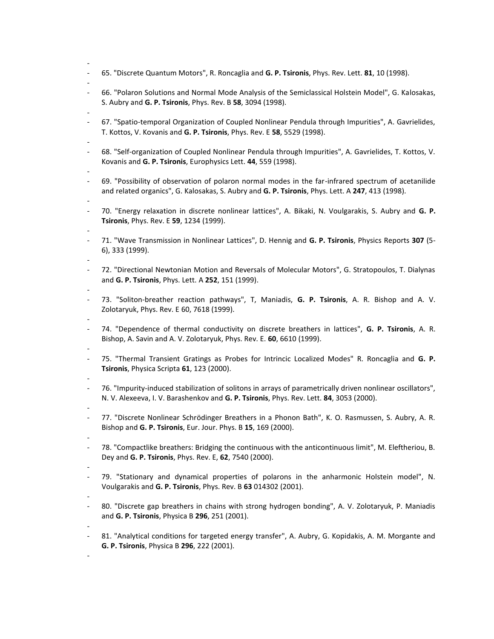- - 65. "Discrete Quantum Motors", R. Roncaglia and **G. P. Tsironis**, Phys. Rev. Lett. **81**, 10 (1998).
- - 66. "Polaron Solutions and Normal Mode Analysis of the Semiclassical Holstein Model", G. Kalosakas, S. Aubry and **G. P. Tsironis**, Phys. Rev. B **58**, 3094 (1998).
- - 67. "Spatio-temporal Organization of Coupled Nonlinear Pendula through Impurities", A. Gavrielides, T. Kottos, V. Kovanis and **G. P. Tsironis**, Phys. Rev. E **58**, 5529 (1998).
- - 68. "Self-organization of Coupled Nonlinear Pendula through Impurities", A. Gavrielides, T. Kottos, V. Kovanis and **G. P. Tsironis**, Europhysics Lett. **44**, 559 (1998).
- - 69. "Possibility of observation of polaron normal modes in the far-infrared spectrum of acetanilide and related organics", G. Kalosakas, S. Aubry and **G. P. Tsironis**, Phys. Lett. A **247**, 413 (1998).
- - 70. "Energy relaxation in discrete nonlinear lattices", A. Bikaki, N. Voulgarakis, S. Aubry and **G. P. Tsironis**, Phys. Rev. E **59**, 1234 (1999).
- - 71. "Wave Transmission in Nonlinear Lattices", D. Hennig and **G. P. Tsironis**, Physics Reports **307** (5- 6), 333 (1999).
- - 72. "Directional Newtonian Motion and Reversals of Molecular Motors", G. Stratopoulos, T. Dialynas and **G. P. Tsironis**, Phys. Lett. A **252**, 151 (1999).
- - 73. "Soliton-breather reaction pathways", T, Maniadis, **G. P. Tsironis**, A. R. Bishop and A. V. Zolotaryuk, Phys. Rev. E 60, 7618 (1999).
- - 74. "Dependence of thermal conductivity on discrete breathers in lattices", **G. P. Tsironis**, A. R. Bishop, A. Savin and A. V. Zolotaryuk, Phys. Rev. E. **60**, 6610 (1999).
- - 75. "Thermal Transient Gratings as Probes for Intrincic Localized Modes" R. Roncaglia and **G. P. Tsironis**, Physica Scripta **61**, 123 (2000).
- - 76. "Impurity-induced stabilization of solitons in arrays of parametrically driven nonlinear oscillators", N. V. Alexeeva, I. V. Barashenkov and **G. P. Tsironis**, Phys. Rev. Lett. **84**, 3053 (2000).
- 77. "Discrete Nonlinear Schrödinger Breathers in a Phonon Bath", K. O. Rasmussen, S. Aubry, A. R. Bishop and **G. P. Tsironis**, Eur. Jour. Phys. B **15**, 169 (2000).

-

- - 78. "Compactlike breathers: Bridging the continuous with the anticontinuous limit", M. Eleftheriou, B. Dey and **G. P. Tsironis**, Phys. Rev. E, **62**, 7540 (2000).
- 79. "Stationary and dynamical properties of polarons in the anharmonic Holstein model", N. Voulgarakis and **G. P. Tsironis**, Phys. Rev. B **63** 014302 (2001).
- - 80. "Discrete gap breathers in chains with strong hydrogen bonding", A. V. Zolotaryuk, P. Maniadis and **G. P. Tsironis**, Physica B **296**, 251 (2001).
- 81. "Analytical conditions for targeted energy transfer", A. Aubry, G. Kopidakis, A. M. Morgante and **G. P. Tsironis**, Physica B **296**, 222 (2001).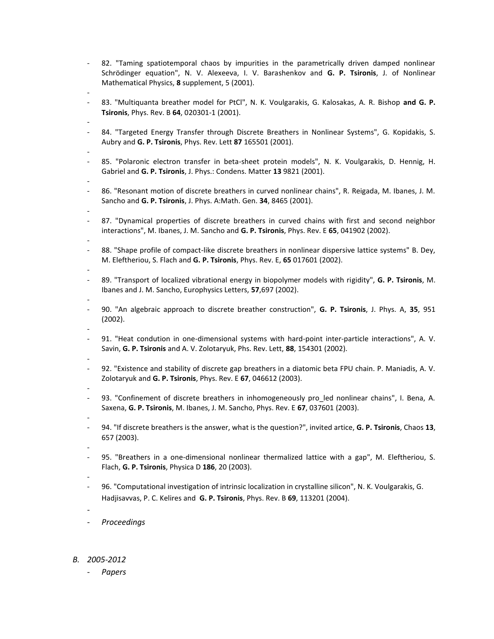- 82. "Taming spatiotemporal chaos by impurities in the parametrically driven damped nonlinear Schrödinger equation", N. V. Alexeeva, I. V. Barashenkov and **G. P. Tsironis**, J. of Nonlinear Mathematical Physics, **8** supplement, 5 (2001).
- - 83. "Multiquanta breather model for PtCl", N. K. Voulgarakis, G. Kalosakas, A. R. Bishop **and G. P. Tsironis**, Phys. Rev. B **64**, 020301-1 (2001).
- 84. "Targeted Energy Transfer through Discrete Breathers in Nonlinear Systems", G. Kopidakis, S. Aubry and **G. P. Tsironis**, Phys. Rev. Lett **87** 165501 (2001).
- 85. "Polaronic electron transfer in beta-sheet protein models", N. K. Voulgarakis, D. Hennig, H. Gabriel and **G. P. Tsironis**, J. Phys.: Condens. Matter **13** 9821 (2001).
- - 86. "Resonant motion of discrete breathers in curved nonlinear chains", R. Reigada, M. Ibanes, J. M. Sancho and **G. P. Tsironis**, J. Phys. A:Math. Gen. **34**, 8465 (2001).
- - 87. "Dynamical properties of discrete breathers in curved chains with first and second neighbor interactions", M. Ibanes, J. M. Sancho and **G. P. Tsironis**, Phys. Rev. E **65**, 041902 (2002).
- - 88. "Shape profile of compact-like discrete breathers in nonlinear dispersive lattice systems" B. Dey, M. Eleftheriou, S. Flach and **G. P. Tsironis**, Phys. Rev. E, **65** 017601 (2002).
- - 89. "Transport of localized vibrational energy in biopolymer models with rigidity", **G. P. Tsironis**, M. Ibanes and J. M. Sancho, Europhysics Letters, **57**,697 (2002).
- - 90. "An algebraic approach to discrete breather construction", **G. P. Tsironis**, J. Phys. A, **35**, 951 (2002).
- - 91. "Heat condution in one-dimensional systems with hard-point inter-particle interactions", A. V. Savin, **G. P. Tsironis** and A. V. Zolotaryuk, Phs. Rev. Lett, **88**, 154301 (2002).
- 92. "Existence and stability of discrete gap breathers in a diatomic beta FPU chain. P. Maniadis, A. V. Zolotaryuk and **G. P. Tsironis**, Phys. Rev. E **67**, 046612 (2003).
- - 93. "Confinement of discrete breathers in inhomogeneously pro led nonlinear chains", I. Bena, A. Saxena, **G. P. Tsironis**, M. Ibanes, J. M. Sancho, Phys. Rev. E **67**, 037601 (2003).
- - 94. "If discrete breathers is the answer, what is the question?", invited artice, **G. P. Tsironis**, Chaos **13**, 657 (2003).
- - 95. "Breathers in a one-dimensional nonlinear thermalized lattice with a gap", M. Eleftheriou, S. Flach, **G. P. Tsironis**, Physica D **186**, 20 (2003).
- 96. "Computational investigation of intrinsic localization in crystalline silicon", N. K. Voulgarakis, G. Hadjisavvas, P. C. Kelires and **G. P. Tsironis**, Phys. Rev. B **69**, 113201 (2004).
- -

- *Proceedings*
- *B. 2005-2012*
	- *Papers*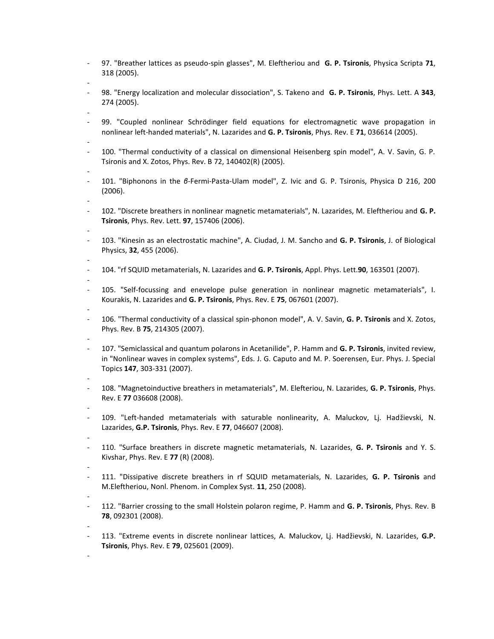- 97. "Breather lattices as pseudo-spin glasses", M. Eleftheriou and **G. P. Tsironis**, Physica Scripta **71**, 318 (2005).
- - 98. "Energy localization and molecular dissociation", S. Takeno and **G. P. Tsironis**, Phys. Lett. A **343**, 274 (2005).
- - 99. "Coupled nonlinear Schrödinger field equations for electromagnetic wave propagation in nonlinear left-handed materials", N. Lazarides and **G. P. Tsironis**, Phys. Rev. E **71**, 036614 (2005).
- 100. "Thermal conductivity of a classical on dimensional Heisenberg spin model", A. V. Savin, G. P. Tsironis and X. Zotos, Phys. Rev. B 72, 140402(R) (2005).
- - 101. "Biphonons in the *β*-Fermi-Pasta-Ulam model", Z. Ivic and G. P. Tsironis, Physica D 216, 200 (2006).
- - 102. "Discrete breathers in nonlinear magnetic metamaterials", N. Lazarides, M. Eleftheriou and **G. P. Tsironis**, Phys. Rev. Lett. **97**, 157406 (2006).
- - 103. "Kinesin as an electrostatic machine", A. Ciudad, J. M. Sancho and **G. P. Tsironis**, J. of Biological Physics, **32**, 455 (2006).
- - 104. "rf SQUID metamaterials, N. Lazarides and **G. P. Tsironis**, Appl. Phys. Lett.**90**, 163501 (2007).
- - 105. "Self-focussing and enevelope pulse generation in nonlinear magnetic metamaterials", I. Kourakis, N. Lazarides and **G. P. Tsironis**, Phys. Rev. E **75**, 067601 (2007).
- - 106. "Thermal conductivity of a classical spin-phonon model", A. V. Savin, **G. P. Tsironis** and X. Zotos, Phys. Rev. B **75**, 214305 (2007).
- - 107. "Semiclassical and quantum polarons in Acetanilide", P. Hamm and **G. P. Tsironis**, invited review, in "Nonlinear waves in complex systems", Eds. J. G. Caputo and M. P. Soerensen, Eur. Phys. J. Special Topics **147**, 303-331 (2007).
- - 108. "Magnetoinductive breathers in metamaterials", M. Elefteriou, N. Lazarides, **G. P. Tsironis**, Phys. Rev. E **77** 036608 (2008).
- - 109. "Left-handed metamaterials with saturable nonlinearity, A. Maluckov, Lj. Hadžievski, N. Lazarides, **G.P. Tsironis**, Phys. Rev. E **77**, 046607 (2008).
- - 110. "Surface breathers in discrete magnetic metamaterials, N. Lazarides, **G. P. Tsironis** and Y. S. Kivshar, Phys. Rev. E **77** (R) (2008).
- - 111. "Dissipative discrete breathers in rf SQUID metamaterials, N. Lazarides, **G. P. Tsironis** and M.Eleftheriou, Nonl. Phenom. in Complex Syst. **11**, 250 (2008).
- - 112. "Barrier crossing to the small Holstein polaron regime, P. Hamm and **G. P. Tsironis**, Phys. Rev. B **78**, 092301 (2008).
- - 113. "Extreme events in discrete nonlinear lattices, A. Maluckov, Lj. Hadžievski, N. Lazarides, **G.P. Tsironis**, Phys. Rev. E **79**, 025601 (2009).